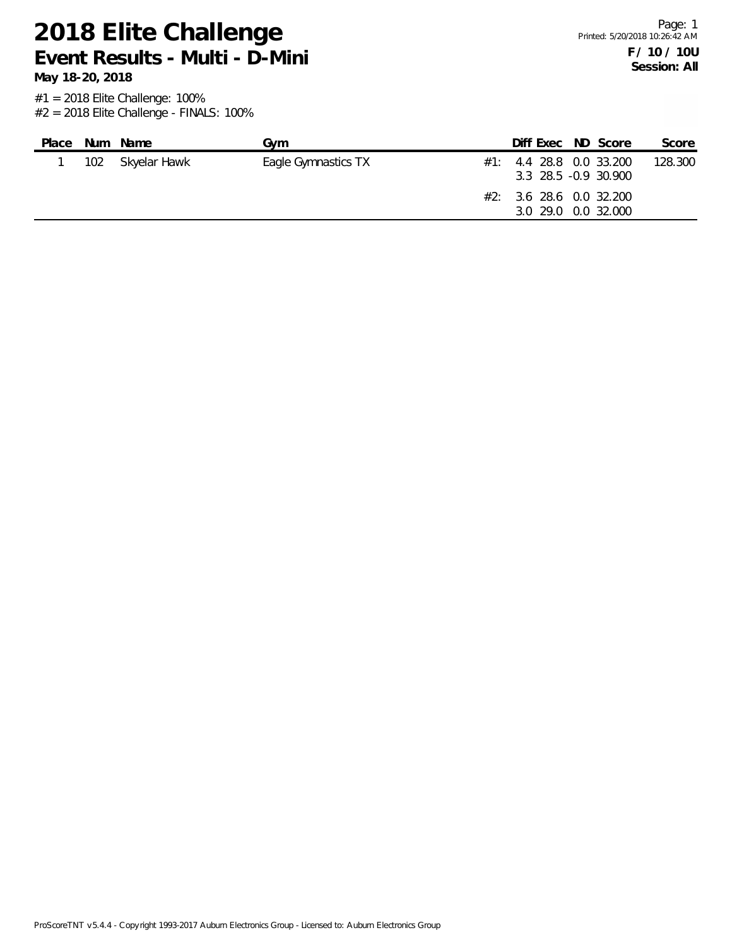**May 18-20, 2018**

| $\#1$ : 4.4 28.8 0.0 33.200<br>102 Skyelar Hawk<br>Eagle Gymnastics TX<br>3.3 28.5 -0.9 30.900<br>#2: 3.6 28.6 0.0 32.200<br>3.0 29.0 0.0 32.000 | Place | Num Name | Gvm | Diff Exec ND Score |  | Score   |
|--------------------------------------------------------------------------------------------------------------------------------------------------|-------|----------|-----|--------------------|--|---------|
|                                                                                                                                                  |       |          |     |                    |  | 128.300 |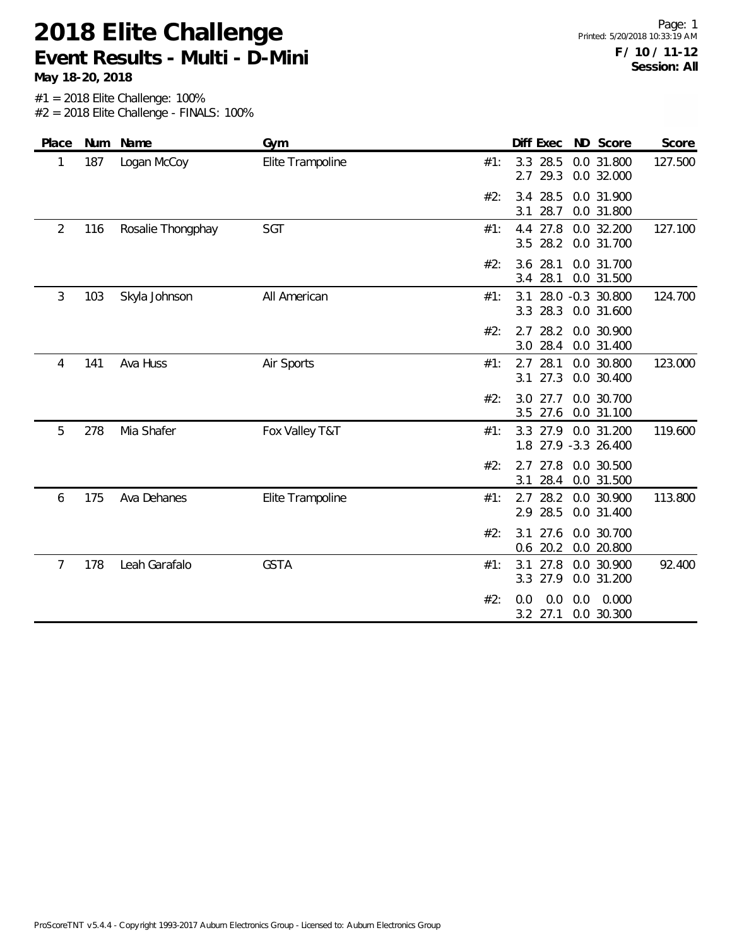**May 18-20, 2018**

| Place          |     | Num Name          | Gym              |     | Diff Exec                        | ND Score                       | Score   |
|----------------|-----|-------------------|------------------|-----|----------------------------------|--------------------------------|---------|
| 1              | 187 | Logan McCoy       | Elite Trampoline | #1: | 28.5<br>3.3<br>29.3<br>2.7       | 0.0 31.800<br>0.0 32.000       | 127.500 |
|                |     |                   |                  | #2: | 28.5<br>3.4<br>28.7<br>3.1       | 0.0 31.900<br>0.0 31.800       |         |
| $\overline{2}$ | 116 | Rosalie Thongphay | <b>SGT</b>       | #1: | 27.8<br>4.4<br>28.2<br>3.5       | 0.0 32.200<br>0.0 31.700       | 127.100 |
|                |     |                   |                  | #2: | 28.1<br>3.6<br>28.1<br>3.4       | 0.0 31.700<br>0.0 31.500       |         |
| 3              | 103 | Skyla Johnson     | All American     | #1: | 3.1<br>3.3<br>28.3               | 28.0 -0.3 30.800<br>0.0 31.600 | 124.700 |
|                |     |                   |                  | #2: | 28.2<br>2.7<br>28.4<br>3.0       | 0.0 30.900<br>0.0 31.400       |         |
| 4              | 141 | Ava Huss          | Air Sports       | #1: | 28.1<br>2.7<br>27.3<br>3.1       | 0.0 30.800<br>0.0 30.400       | 123.000 |
|                |     |                   |                  | #2: | 27.7<br>3.0<br>3.5 27.6          | 0.0 30.700<br>0.0 31.100       |         |
| 5              | 278 | Mia Shafer        | Fox Valley T&T   | #1: | 3.3 27.9<br>1.8 27.9 -3.3 26.400 | 0.0 31.200                     | 119.600 |
|                |     |                   |                  | #2: | 27.8<br>2.7<br>3.1<br>28.4       | 0.0 30.500<br>0.0 31.500       |         |
| 6              | 175 | Ava Dehanes       | Elite Trampoline | #1: | 28.2<br>2.7<br>28.5<br>2.9       | 0.0 30.900<br>0.0 31.400       | 113.800 |
|                |     |                   |                  | #2: | 27.6<br>3.1<br>$0.6$ 20.2        | 0.0 30.700<br>0.0 20.800       |         |
| 7              | 178 | Leah Garafalo     | <b>GSTA</b>      | #1: | 27.8<br>3.1<br>27.9<br>3.3       | 0.0 30.900<br>0.0 31.200       | 92.400  |
|                |     |                   |                  | #2: | 0.0<br>0.0<br>3.2 27.1           | 0.0<br>0.0 30.300              | 0.000   |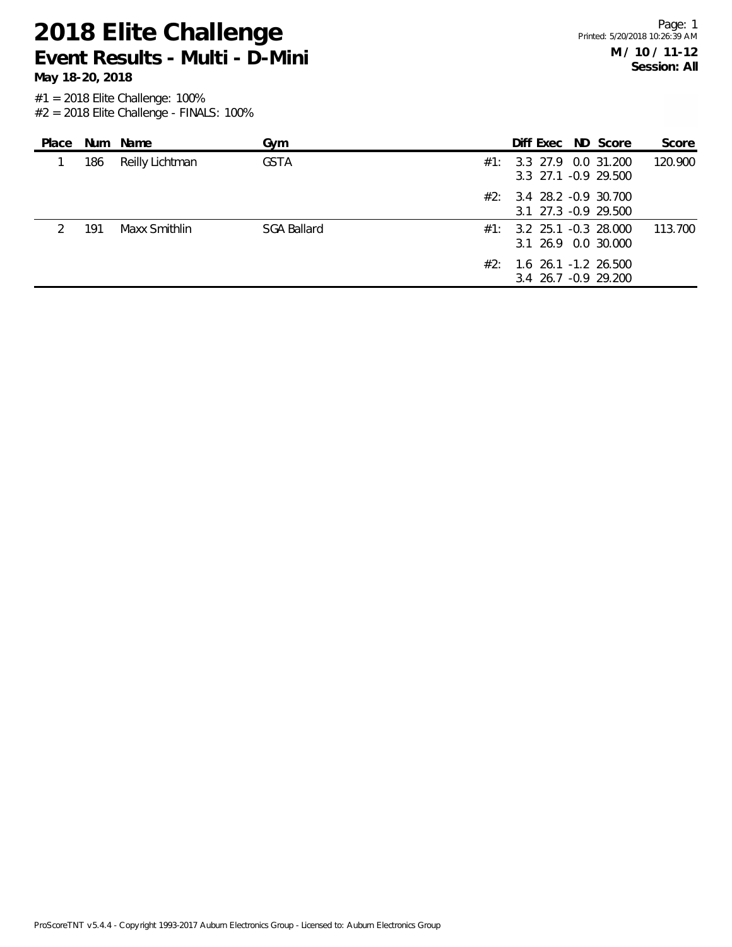**May 18-20, 2018**

| Place |     | Num Name        | Gym                |     | Diff Exec ND Score                                 |  | Score   |
|-------|-----|-----------------|--------------------|-----|----------------------------------------------------|--|---------|
|       | 186 | Reilly Lichtman | <b>GSTA</b>        | #1: | 3.3 27.9 0.0 31.200<br>3.3 27.1 -0.9 29.500        |  | 120,900 |
|       |     |                 |                    | #2∶ | 3.4 28.2 -0.9 30.700<br>3.1 27.3 -0.9 29.500       |  |         |
|       | 191 | Maxx Smithlin   | <b>SGA Ballard</b> |     | $\#1:$ 3.2 25.1 -0.3 28.000<br>3.1 26.9 0.0 30.000 |  | 113.700 |
|       |     |                 |                    | #2: | 1.6 26.1 -1.2 26.500<br>3.4 26.7 -0.9 29.200       |  |         |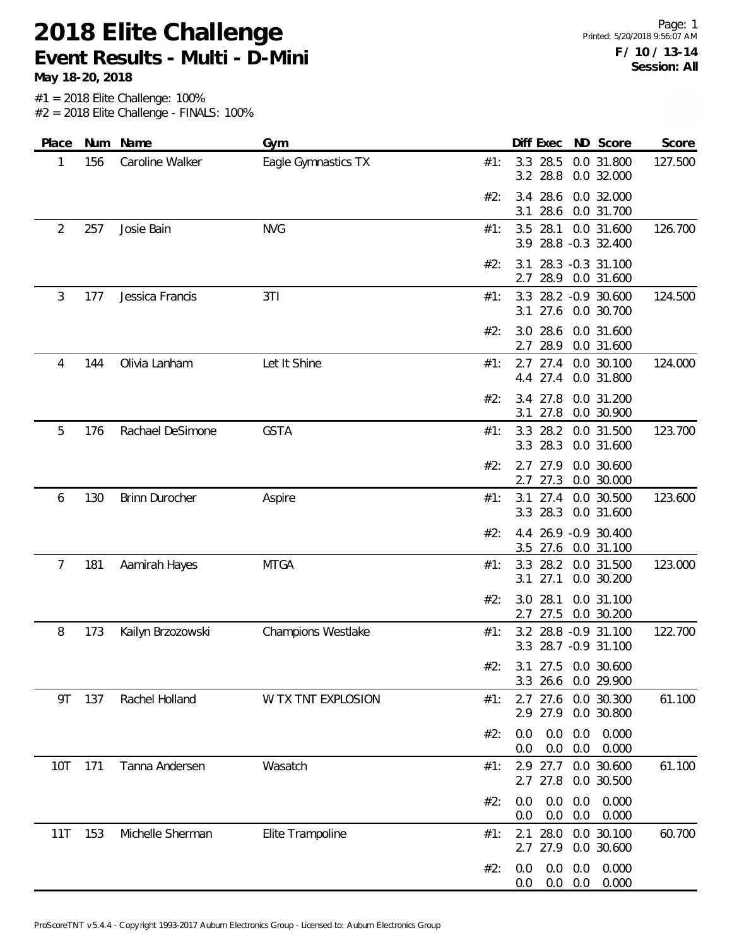**May 18-20, 2018**

| Place | Num | Name              | Gym                 |     | Diff Exec                          |            | ND Score                            | Score   |
|-------|-----|-------------------|---------------------|-----|------------------------------------|------------|-------------------------------------|---------|
| 1     | 156 | Caroline Walker   | Eagle Gymnastics TX | #1: | 28.5<br>3.3<br>28.8<br>3.2         |            | 0.0 31.800<br>0.0 32.000            | 127.500 |
|       |     |                   |                     | #2: | 28.6<br>3.4<br>28.6<br>3.1         |            | 0.0 32.000<br>0.0 31.700            |         |
| 2     | 257 | Josie Bain        | <b>NVG</b>          | #1: | 28.1<br>3.5<br>3.9                 |            | 0.0 31.600<br>28.8 -0.3 32.400      | 126.700 |
|       |     |                   |                     | #2: | 3.1<br>28.9<br>2.7                 |            | 28.3 -0.3 31.100<br>0.0 31.600      |         |
| 3     | 177 | Jessica Francis   | 3T1                 | #1: | 3.3<br>3.1                         |            | 28.2 -0.9 30.600<br>27.6 0.0 30.700 | 124.500 |
|       |     |                   |                     | #2: | 3.0 28.6<br>28.9<br>2.7            |            | 0.0 31.600<br>0.0 31.600            |         |
| 4     | 144 | Olivia Lanham     | Let It Shine        | #1: | 27.4<br>2.7<br>27.4<br>4.4         |            | 0.0 30.100<br>0.0 31.800            | 124.000 |
|       |     |                   |                     | #2: | 27.8<br>3.4<br>27.8<br>3.1         |            | 0.0 31.200<br>0.0 30.900            |         |
| 5     | 176 | Rachael DeSimone  | <b>GSTA</b>         | #1: | 3.3<br>28.2<br>28.3<br>3.3         |            | 0.0 31.500<br>0.0 31.600            | 123.700 |
|       |     |                   |                     | #2: | 27.9<br>2.7<br>27.3<br>2.7         |            | 0.0 30.600<br>0.0 30.000            |         |
| 6     | 130 | Brinn Durocher    | Aspire              | #1: | 27.4<br>3.1<br>3.3 28.3            |            | 0.0 30.500<br>0.0 31.600            | 123.600 |
|       |     |                   |                     | #2: | 4.4 26.9 -0.9 30.400<br>3.5        |            | 27.6 0.0 31.100                     |         |
| 7     | 181 | Aamirah Hayes     | <b>MTGA</b>         | #1: | 3.3<br>28.2<br>27.1<br>3.1         |            | 0.0 31.500<br>0.0 30.200            | 123.000 |
|       |     |                   |                     | #2: | 28.1<br>3.0<br>27.5<br>2.7         |            | 0.0 31.100<br>0.0 30.200            |         |
| 8     | 173 | Kailyn Brzozowski | Champions Westlake  | #1: | 3.2 28.8 -0.9 31.100<br>3.3        |            | 28.7 - 0.9 31.100                   | 122.700 |
|       |     |                   |                     | #2: | 3.1 27.5 0.0 30.600<br>26.6<br>3.3 |            | 0.0 29.900                          |         |
| 9T    | 137 | Rachel Holland    | W TX TNT EXPLOSION  | #1: | 27.6<br>2.7<br>2.9 27.9            |            | 0.0 30.300<br>0.0 30.800            | 61.100  |
|       |     |                   |                     | #2: | 0.0<br>0.0<br>0.0<br>0.0           | 0.0<br>0.0 | 0.000<br>0.000                      |         |
| 10T   | 171 | Tanna Andersen    | Wasatch             | #1: | 2.9<br>27.7<br>2.7<br>27.8         |            | 0.0 30.600<br>0.0 30.500            | 61.100  |
|       |     |                   |                     | #2: | 0.0<br>0.0<br>0.0<br>0.0           | 0.0<br>0.0 | 0.000<br>0.000                      |         |
| 11T   | 153 | Michelle Sherman  | Elite Trampoline    | #1: | 28.0<br>2.1<br>2.7 27.9            |            | 0.0 30.100<br>0.0 30.600            | 60.700  |
|       |     |                   |                     | #2: | 0.0<br>0.0<br>0.0<br>0.0           | 0.0<br>0.0 | 0.000<br>0.000                      |         |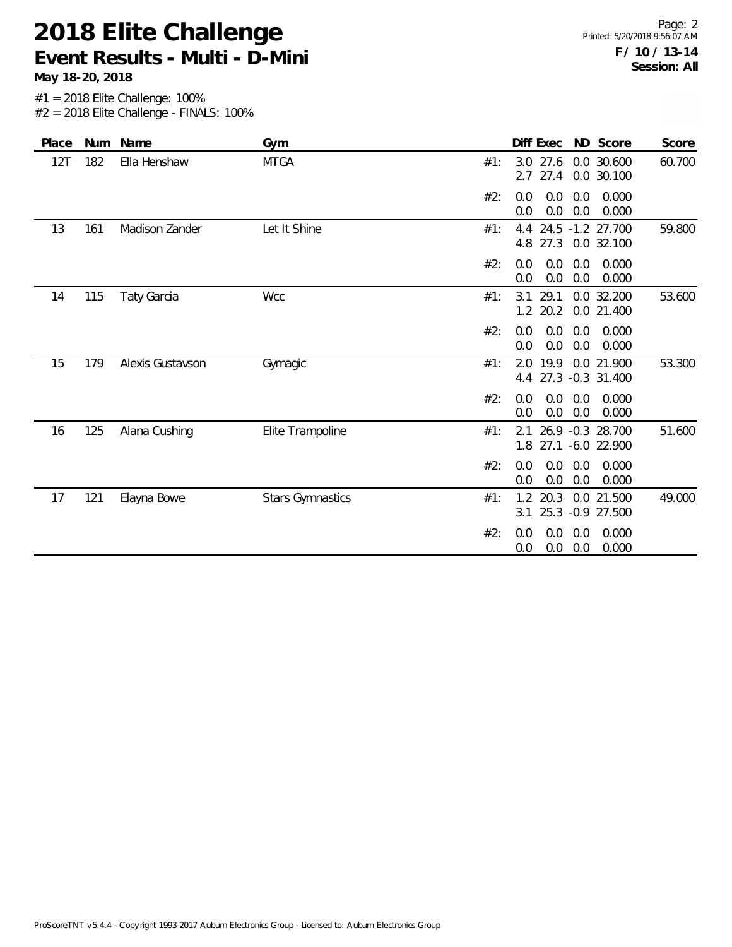**May 18-20, 2018**

| Place | Num | Name               | Gym                     |     | Diff Exec                  |            | ND Score                             | Score  |
|-------|-----|--------------------|-------------------------|-----|----------------------------|------------|--------------------------------------|--------|
| 12T   | 182 | Ella Henshaw       | <b>MTGA</b>             | #1: | 27.6<br>3.0<br>27.4<br>2.7 |            | 0.0 30.600<br>0.0 30.100             | 60.700 |
|       |     |                    |                         | #2: | 0.0<br>0.0<br>0.0<br>0.0   | 0.0<br>0.0 | 0.000<br>0.000                       |        |
| 13    | 161 | Madison Zander     | Let It Shine            | #1: | 4.4<br>4.8 27.3 0.0 32.100 |            | 24.5 -1.2 27.700                     | 59.800 |
|       |     |                    |                         | #2: | 0.0<br>0.0<br>0.0<br>0.0   | 0.0<br>0.0 | 0.000<br>0.000                       |        |
| 14    | 115 | <b>Taty Garcia</b> | <b>Wcc</b>              | #1: | 29.1<br>3.1<br>20.2<br>1.2 |            | 0.0 32.200<br>0.0 21.400             | 53.600 |
|       |     |                    |                         | #2: | 0.0<br>0.0<br>0.0<br>0.0   | 0.0<br>0.0 | 0.000<br>0.000                       |        |
| 15    | 179 | Alexis Gustavson   | Gymagic                 | #1: | 19.9<br>2.0<br>4.4         |            | 0.0 21.900<br>27.3 -0.3 31.400       | 53.300 |
|       |     |                    |                         | #2: | 0.0<br>0.0<br>0.0<br>0.0   | 0.0<br>0.0 | 0.000<br>0.000                       |        |
| 16    | 125 | Alana Cushing      | Elite Trampoline        | #1: | 2.1<br>1.8                 |            | 26.9 -0.3 28.700<br>27.1 -6.0 22.900 | 51.600 |
|       |     |                    |                         | #2: | 0.0<br>0.0<br>0.0<br>0.0   | 0.0<br>0.0 | 0.000<br>0.000                       |        |
| 17    | 121 | Elayna Bowe        | <b>Stars Gymnastics</b> | #1: | 20.3<br>1.2<br>25.3<br>3.1 |            | 0.0 21.500<br>$-0.9$ 27.500          | 49.000 |
|       |     |                    |                         | #2: | 0.0<br>0.0<br>0.0<br>0.0   | 0.0<br>0.0 | 0.000<br>0.000                       |        |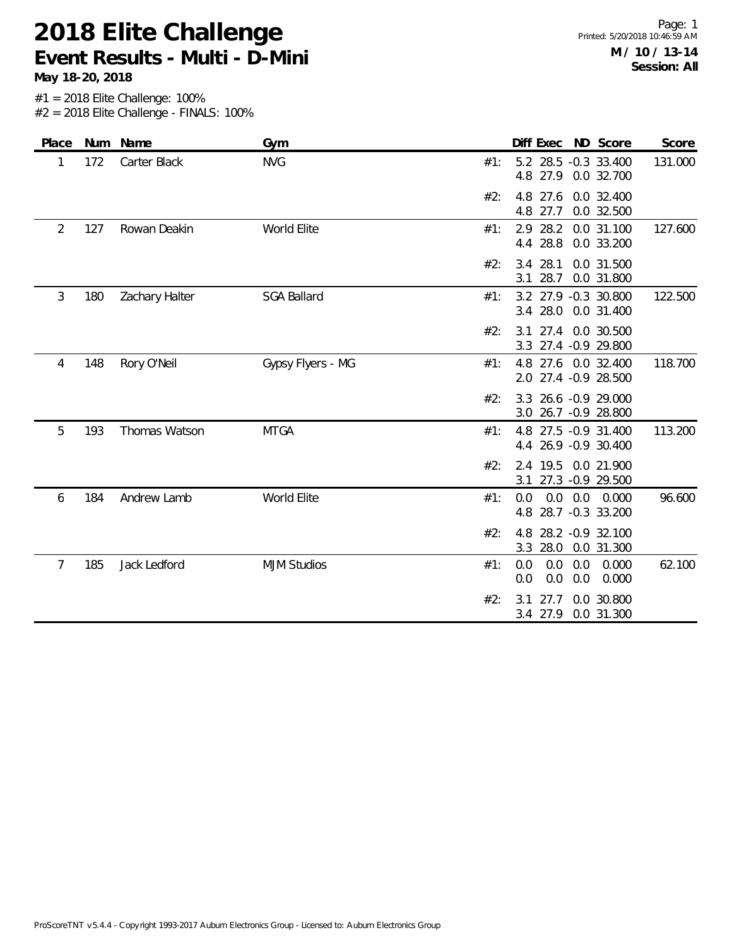**May 18-20, 2018**

| Place | Num | Name           | Gym                | Diff Exec<br>ND Score<br>Score                                                   |
|-------|-----|----------------|--------------------|----------------------------------------------------------------------------------|
| 1     | 172 | Carter Black   | <b>NVG</b>         | 5.2 28.5 -0.3 33.400<br>131.000<br>#1:<br>4.8 27.9 0.0 32.700                    |
|       |     |                |                    | 27.6<br>0.0 32.400<br>#2:<br>4.8<br>4.8<br>27.7<br>0.0 32.500                    |
| 2     | 127 | Rowan Deakin   | World Elite        | 28.2<br>0.0 31.100<br>127.600<br>#1:<br>2.9<br>28.8<br>0.0 33.200<br>4.4         |
|       |     |                |                    | #2:<br>28.1<br>0.0 31.500<br>3.4<br>28.7<br>0.0 31.800<br>3.1                    |
| 3     | 180 | Zachary Halter | <b>SGA Ballard</b> | 3.2 27.9 -0.3 30.800<br>#1:<br>122.500<br>28.0<br>0.0 31.400<br>3.4              |
|       |     |                |                    | 27.4<br>0.0 30.500<br>#2:<br>3.1<br>27.4 -0.9 29.800<br>3.3                      |
| 4     | 148 | Rory O'Neil    | Gypsy Flyers - MG  | 118.700<br>#1:<br>4.8 27.6 0.0 32.400<br>27.4 -0.9 28.500<br>2.0                 |
|       |     |                |                    | 26.6 -0.9 29.000<br>#2:<br>3.3<br>3.0 26.7 -0.9 28.800                           |
| 5     | 193 | Thomas Watson  | <b>MTGA</b>        | 113.200<br>4.8 27.5 -0.9 31.400<br>#1:<br>26.9 - 0.9 30.400<br>4.4               |
|       |     |                |                    | 2.4 19.5<br>0.0 21.900<br>#2:<br>27.3 -0.9 29.500<br>3.1                         |
| 6     | 184 | Andrew Lamb    | World Elite        | 96.600<br>#1:<br>0.0<br>$0.0^{\circ}$<br>0.0<br>0.000<br>28.7 -0.3 33.200<br>4.8 |
|       |     |                |                    | #2:<br>28.2 - 0.9 32.100<br>4.8<br>3.3<br>28.0<br>0.0 31.300                     |
| 7     | 185 | Jack Ledford   | <b>MJM Studios</b> | 0.0<br>0.0<br>0.0<br>0.000<br>62.100<br>#1:<br>0.0<br>0.0<br>0.000<br>0.0        |
|       |     |                |                    | #2:<br>27.7<br>0.0 30.800<br>3.1<br>0.0 31.300<br>3.4<br>27.9                    |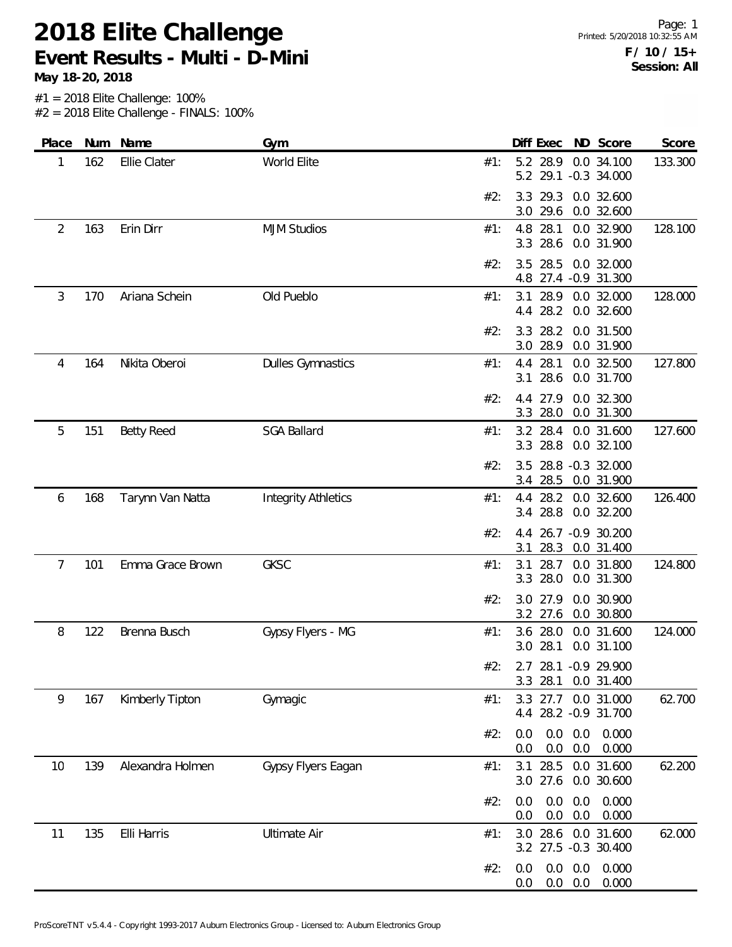**May 18-20, 2018**

| Place |     | Num Name          | Gym                        |     | Diff Exec                           |                   | ND Score                        | Score   |
|-------|-----|-------------------|----------------------------|-----|-------------------------------------|-------------------|---------------------------------|---------|
| 1     | 162 | Ellie Clater      | World Elite                | #1: | 5.2 28.9<br>5.2 29.1 -0.3 34.000    |                   | 0.0 34.100                      | 133.300 |
|       |     |                   |                            | #2: | 29.3<br>3.3<br>3.0 29.6             |                   | 0.0 32.600<br>0.0 32.600        |         |
| 2     | 163 | Erin Dirr         | <b>MJM Studios</b>         | #1: | 4.8 28.1<br>28.6<br>3.3             |                   | 0.0 32.900<br>0.0 31.900        | 128.100 |
|       |     |                   |                            | #2: | 28.5<br>3.5<br>4.8                  |                   | 0.0 32.000<br>27.4 - 0.9 31.300 |         |
| 3     | 170 | Ariana Schein     | Old Pueblo                 | #1: | 28.9<br>3.1<br>4.4 28.2             |                   | 0.0 32.000<br>0.0 32.600        | 128.000 |
|       |     |                   |                            | #2: | 28.2<br>3.3<br>28.9<br>3.0          |                   | 0.0 31.500<br>0.0 31.900        |         |
| 4     | 164 | Nikita Oberoi     | <b>Dulles Gymnastics</b>   | #1: | 28.1<br>4.4<br>28.6<br>3.1          |                   | 0.0 32.500<br>0.0 31.700        | 127.800 |
|       |     |                   |                            | #2: | 27.9<br>4.4<br>28.0<br>3.3          |                   | 0.0 32.300<br>0.0 31.300        |         |
| 5     | 151 | <b>Betty Reed</b> | <b>SGA Ballard</b>         | #1: | 3.2 28.4<br>3.3 28.8                |                   | 0.0 31.600<br>0.0 32.100        | 127.600 |
|       |     |                   |                            | #2: | 3.5<br>3.4 28.5                     |                   | 28.8 -0.3 32.000<br>0.0 31.900  |         |
| 6     | 168 | Tarynn Van Natta  | <b>Integrity Athletics</b> | #1: | 4.4 28.2<br>3.4 28.8                |                   | 0.0 32.600<br>0.0 32.200        | 126.400 |
|       |     |                   |                            | #2: | 26.7<br>4.4<br>28.3<br>3.1          |                   | $-0.9$ 30.200<br>0.0 31.400     |         |
| 7     | 101 | Emma Grace Brown  | <b>GKSC</b>                | #1: | 28.7<br>3.1<br>28.0<br>3.3          |                   | 0.0 31.800<br>0.0 31.300        | 124.800 |
|       |     |                   |                            | #2: | 27.9<br>3.0<br>3.2 27.6             |                   | 0.0 30.900<br>0.0 30.800        |         |
| 8     | 122 | Brenna Busch      | Gypsy Flyers - MG          | #1: | 3.6 28.0<br>3.0 28.1                |                   | 0.0 31.600<br>0.0 31.100        | 124.000 |
|       |     |                   |                            | #2: | 2.7 28.1 -0.9 29.900<br>3.3 28.1    |                   | 0.0 31.400                      |         |
| 9     | 167 | Kimberly Tipton   | Gymagic                    | #1: | 3.3<br>27.7<br>4.4 28.2 -0.9 31.700 |                   | 0.0 31.000                      | 62.700  |
|       |     |                   |                            | #2: | 0.0<br>0.0<br>0.0<br>0.0            | 0.0<br>0.0        | 0.000<br>0.000                  |         |
| 10    | 139 | Alexandra Holmen  | Gypsy Flyers Eagan         | #1: | 3.1<br>28.5<br>3.0 27.6             |                   | 0.0 31.600<br>0.0 30.600        | 62.200  |
|       |     |                   |                            | #2: | 0.0<br>0.0<br>0.0<br>0.0            | 0.0<br>0.0        | 0.000<br>0.000                  |         |
| 11    | 135 | Elli Harris       | <b>Ultimate Air</b>        | #1: | 28.6<br>3.0<br>3.2 27.5 -0.3 30.400 |                   | 0.0 31.600                      | 62.000  |
|       |     |                   |                            | #2: | 0.0<br>0.0<br>0.0                   | $0.0\ 0.0$<br>0.0 | 0.000<br>0.000                  |         |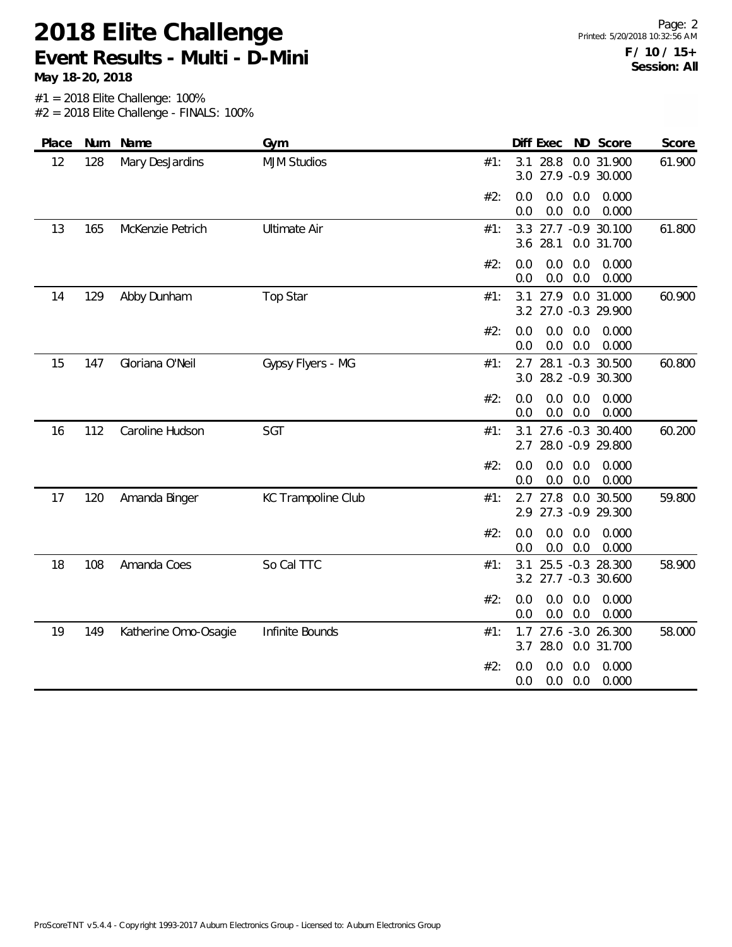**May 18-20, 2018**

Page: 2 Printed: 5/20/2018 10:32:56 AM **F / 10 / 15+ Session: All**

| Place | Num | Name                 | Gym                 |     | Diff Exec       |                                              | ND Score       | Score  |
|-------|-----|----------------------|---------------------|-----|-----------------|----------------------------------------------|----------------|--------|
| 12    | 128 | Mary DesJardins      | <b>MJM Studios</b>  | #1: | 3.1 28.8        | 3.0 27.9 -0.9 30.000                         | 0.0 31.900     | 61.900 |
|       |     |                      |                     | #2: | 0.0<br>0.0      | 0.0<br>0.0<br>0.0<br>0.0                     | 0.000<br>0.000 |        |
| 13    | 165 | McKenzie Petrich     | <b>Ultimate Air</b> | #1: | 3.3<br>3.6 28.1 | 27.7 -0.9 30.100                             | 0.0 31.700     | 61.800 |
|       |     |                      |                     | #2: | 0.0<br>0.0      | 0.0<br>0.0<br>0.0<br>0.0                     | 0.000<br>0.000 |        |
| 14    | 129 | Abby Dunham          | Top Star            | #1: | 3.1             | 27.9<br>3.2 27.0 -0.3 29.900                 | 0.0 31.000     | 60.900 |
|       |     |                      |                     | #2: | 0.0<br>0.0      | 0.0<br>0.0<br>0.0<br>0.0                     | 0.000<br>0.000 |        |
| 15    | 147 | Gloriana O'Neil      | Gypsy Flyers - MG   | #1: | 2.7             | 28.1 -0.3 30.500<br>3.0 28.2 -0.9 30.300     |                | 60.800 |
|       |     |                      |                     | #2: | 0.0<br>0.0      | 0.0<br>0.0<br>0.0<br>0.0                     | 0.000<br>0.000 |        |
| 16    | 112 | Caroline Hudson      | SGT                 | #1: |                 | 3.1 27.6 -0.3 30.400<br>2.7 28.0 -0.9 29.800 |                | 60.200 |
|       |     |                      |                     | #2: | 0.0<br>0.0      | 0.0<br>0.0<br>0.0<br>0.0                     | 0.000<br>0.000 |        |
| 17    | 120 | Amanda Binger        | KC Trampoline Club  | #1: | 2.7 27.8        | 2.9 27.3 -0.9 29.300                         | 0.0 30.500     | 59.800 |
|       |     |                      |                     | #2: | 0.0<br>0.0      | 0.0<br>0.0<br>0.0<br>0.0                     | 0.000<br>0.000 |        |
| 18    | 108 | Amanda Coes          | So Cal TTC          | #1: | 3.1             | 25.5 -0.3 28.300<br>3.2 27.7 -0.3 30.600     |                | 58.900 |
|       |     |                      |                     | #2: | 0.0<br>0.0      | 0.0<br>0.0<br>0.0<br>0.0                     | 0.000<br>0.000 |        |
| 19    | 149 | Katherine Omo-Osagie | Infinite Bounds     | #1: | 1.7<br>3.7      | 27.6 -3.0 26.300<br>28.0                     | 0.0 31.700     | 58.000 |
|       |     |                      |                     | #2: | 0.0<br>0.0      | 0.0<br>0.0<br>0.0<br>0.0                     | 0.000<br>0.000 |        |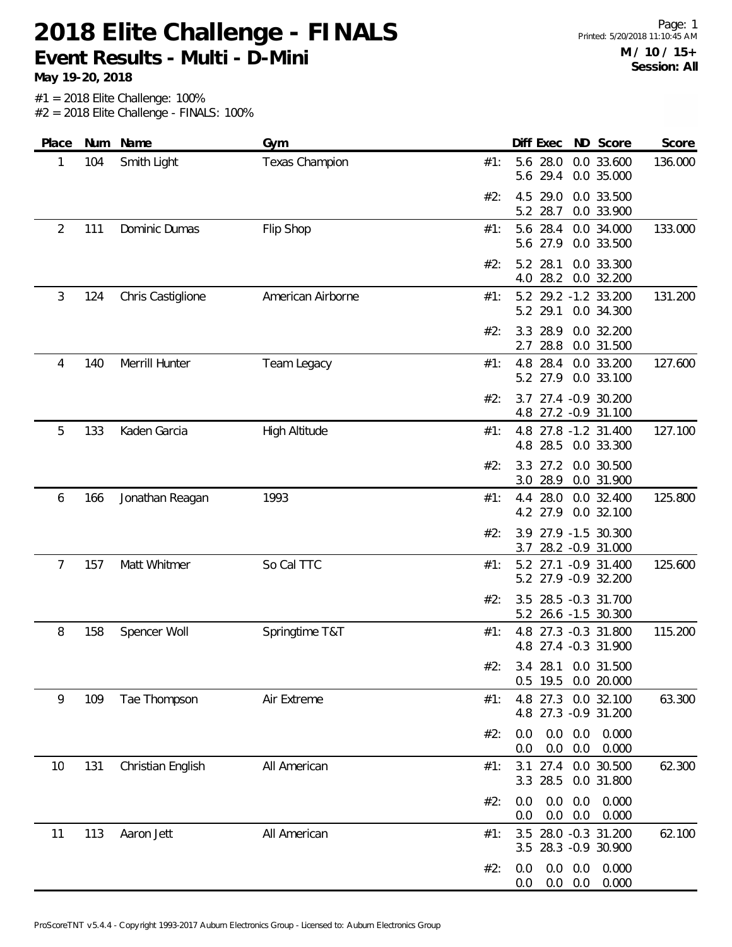**May 19-20, 2018**

| Place          | Num | Name              | Gym                   |     | Diff Exec       |                          |            | ND Score                                     | Score   |
|----------------|-----|-------------------|-----------------------|-----|-----------------|--------------------------|------------|----------------------------------------------|---------|
| 1              | 104 | Smith Light       | <b>Texas Champion</b> | #1: | 5.6 28.0<br>5.6 | 29.4                     |            | 0.0 33.600<br>0.0 35.000                     | 136.000 |
|                |     |                   |                       | #2: | 4.5<br>5.2 28.7 | 29.0                     |            | 0.0 33.500<br>0.0 33.900                     |         |
| $\overline{2}$ | 111 | Dominic Dumas     | Flip Shop             | #1: | 5.6 28.4<br>5.6 | 27.9                     |            | 0.0 34.000<br>0.0 33.500                     | 133.000 |
|                |     |                   |                       | #2: | 5.2<br>4.0      | 28.1<br>28.2             |            | 0.0 33.300<br>0.0 32.200                     |         |
| 3              | 124 | Chris Castiglione | American Airborne     | #1: | 5.2<br>5.2      | 29.1                     |            | 29.2 -1.2 33.200<br>0.0 34.300               | 131.200 |
|                |     |                   |                       | #2: | 3.3<br>2.7      | 28.9<br>28.8             |            | 0.0 32.200<br>0.0 31.500                     |         |
| 4              | 140 | Merrill Hunter    | Team Legacy           | #1: | 4.8<br>5.2 27.9 | 28.4                     |            | 0.0 33.200<br>0.0 33.100                     | 127.600 |
|                |     |                   |                       | #2: |                 |                          |            | 3.7 27.4 -0.9 30.200<br>4.8 27.2 -0.9 31.100 |         |
| 5              | 133 | Kaden Garcia      | <b>High Altitude</b>  | #1: | 4.8             |                          |            | 4.8 27.8 -1.2 31.400<br>28.5 0.0 33.300      | 127.100 |
|                |     |                   |                       | #2: | 3.3<br>3.0      | 27.2<br>28.9             |            | 0.0 30.500<br>0.0 31.900                     |         |
| 6              | 166 | Jonathan Reagan   | 1993                  | #1: | 4.4<br>4.2 27.9 | 28.0                     |            | 0.0 32.400<br>0.0 32.100                     | 125.800 |
|                |     |                   |                       | #2: | 3.9<br>3.7      |                          |            | 27.9 -1.5 30.300<br>28.2 - 0.9 31.000        |         |
| $\overline{7}$ | 157 | Matt Whitmer      | So Cal TTC            | #1: | 5.2             |                          |            | 27.1 -0.9 31.400<br>5.2 27.9 -0.9 32.200     | 125.600 |
|                |     |                   |                       | #2: | 3.5             |                          |            | 28.5 -0.3 31.700<br>5.2 26.6 -1.5 30.300     |         |
| 8              | 158 | Spencer Woll      | Springtime T&T        | #1: | 4.8             |                          |            | 27.3 -0.3 31.800<br>4.8 27.4 -0.3 31.900     | 115.200 |
|                |     |                   |                       | #2: | $0.5$ 19.5      |                          |            | 3.4 28.1 0.0 31.500<br>0.0 20.000            |         |
| 9              | 109 | Tae Thompson      | Air Extreme           | #1: | 4.8             | 27.3                     |            | 0.0 32.100<br>4.8 27.3 -0.9 31.200           | 63.300  |
|                |     |                   |                       | #2: | 0.0<br>0.0      | 0.0<br>0.0               | 0.0<br>0.0 | 0.000<br>0.000                               |         |
| 10             | 131 | Christian English | All American          | #1: | 3.1<br>3.3      | 27.4<br>28.5             |            | 0.0 30.500<br>0.0 31.800                     | 62.300  |
|                |     |                   |                       | #2: | 0.0<br>0.0      | 0.0<br>0.0               | 0.0<br>0.0 | 0.000<br>0.000                               |         |
| 11             | 113 | Aaron Jett        | All American          | #1: | 3.5             |                          |            | 28.0 -0.3 31.200<br>3.5 28.3 -0.9 30.900     | 62.100  |
|                |     |                   |                       | #2: | 0.0<br>0.0      | $0.0\ 0.0$<br>$0.0\ 0.0$ |            | 0.000<br>0.000                               |         |